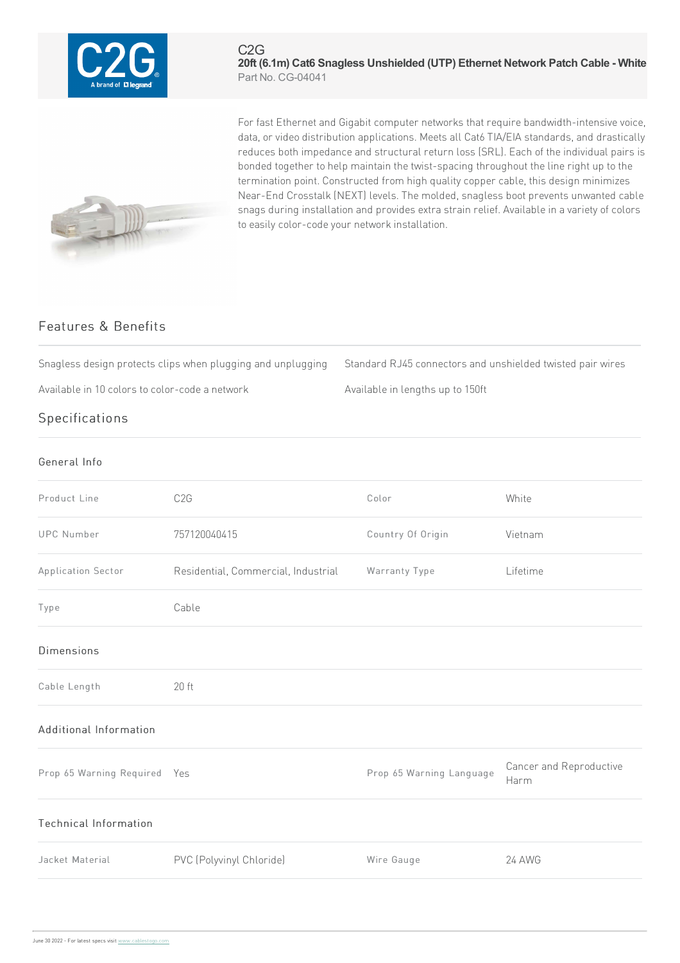

## C2G **20ft (6.1m) Cat6 Snagless Unshielded (UTP) Ethernet Network Patch Cable - White** Part No. CG-04041



For fast Ethernet and Gigabit computer networks that require bandwidth-intensive voice, data, or video distribution applications. Meets all Cat6 TIA/EIA standards, and drastically reduces both impedance and structural return loss (SRL). Each of the individual pairs is bonded together to help maintain the twist-spacing throughout the line right up to the termination point. Constructed from high quality copper cable, this design minimizes Near-End Crosstalk (NEXT) levels. The molded, snagless boot prevents unwanted cable snags during installation and provides extra strain relief. Available in a variety of colors to easily color-code your network installation.

## Features & Benefits

Snagless design protects clips when plugging and unplugging Standard RJ45 connectors and unshielded twisted pair wires

Available in 10 colors to color-code a network Muslem Available in lengths up to 150ft

## Specifications

## General Info

| Product Line                 | C <sub>2</sub> G                    | Color                    | White                           |
|------------------------------|-------------------------------------|--------------------------|---------------------------------|
| <b>UPC Number</b>            | 757120040415                        | Country Of Origin        | Vietnam                         |
| Application Sector           | Residential, Commercial, Industrial | Warranty Type            | Lifetime                        |
| Type                         | Cable                               |                          |                                 |
| <b>Dimensions</b>            |                                     |                          |                                 |
| Cable Length                 | $20$ ft                             |                          |                                 |
| Additional Information       |                                     |                          |                                 |
| Prop 65 Warning Required Yes |                                     | Prop 65 Warning Language | Cancer and Reproductive<br>Harm |
| Technical Information        |                                     |                          |                                 |
| Jacket Material              | PVC (Polyvinyl Chloride)            | Wire Gauge               | <b>24 AWG</b>                   |
|                              |                                     |                          |                                 |